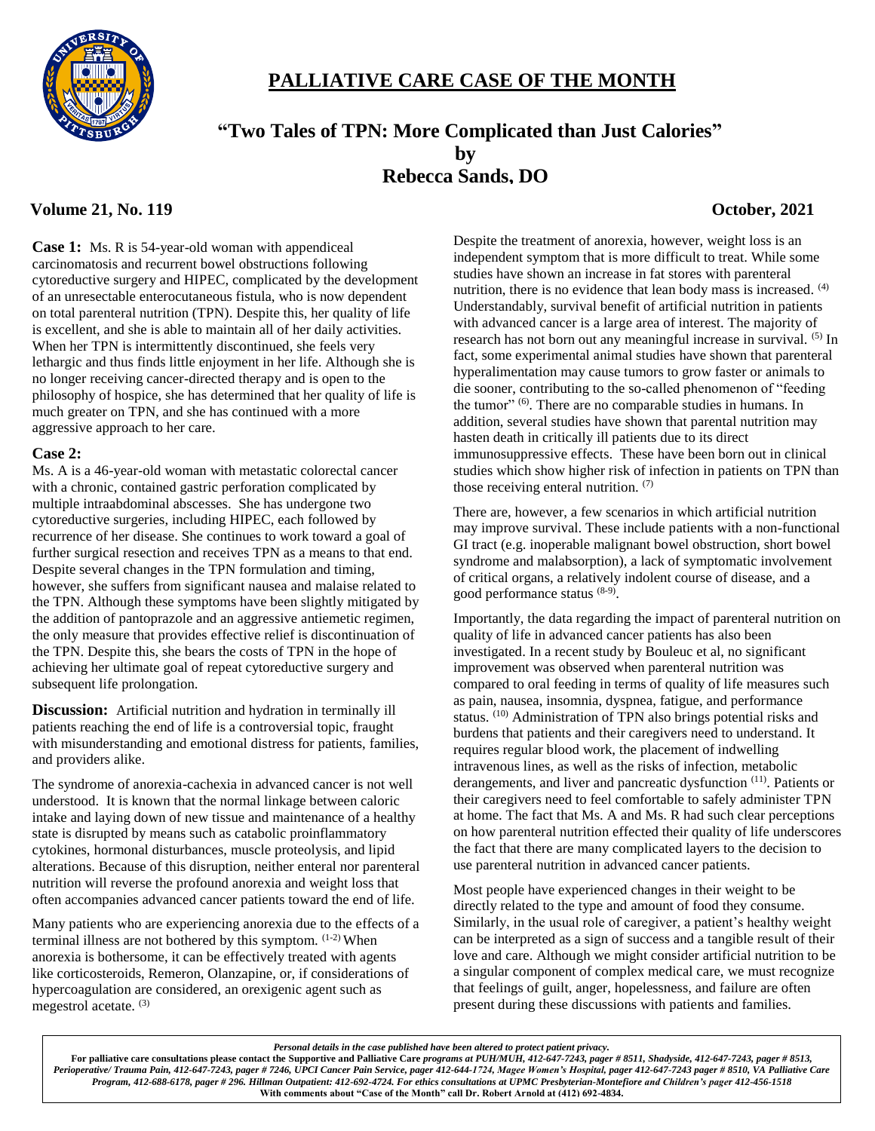

# **PALLIATIVE CARE CASE OF THE MONTH**

# **"Two Tales of TPN: More Complicated than Just Calories" by Rebecca Sands, DO**

# **Volume 21, No. 119 October, 2021**

**Case 1:** Ms. R is 54-year-old woman with appendiceal carcinomatosis and recurrent bowel obstructions following cytoreductive surgery and HIPEC, complicated by the development of an unresectable enterocutaneous fistula, who is now dependent on total parenteral nutrition (TPN). Despite this, her quality of life is excellent, and she is able to maintain all of her daily activities. When her TPN is intermittently discontinued, she feels very lethargic and thus finds little enjoyment in her life. Although she is no longer receiving cancer-directed therapy and is open to the philosophy of hospice, she has determined that her quality of life is much greater on TPN, and she has continued with a more aggressive approach to her care.

## **Case 2:**

Ms. A is a 46-year-old woman with metastatic colorectal cancer with a chronic, contained gastric perforation complicated by multiple intraabdominal abscesses. She has undergone two cytoreductive surgeries, including HIPEC, each followed by recurrence of her disease. She continues to work toward a goal of further surgical resection and receives TPN as a means to that end. Despite several changes in the TPN formulation and timing, however, she suffers from significant nausea and malaise related to the TPN. Although these symptoms have been slightly mitigated by the addition of pantoprazole and an aggressive antiemetic regimen, the only measure that provides effective relief is discontinuation of the TPN. Despite this, she bears the costs of TPN in the hope of achieving her ultimate goal of repeat cytoreductive surgery and subsequent life prolongation.

**Discussion:** Artificial nutrition and hydration in terminally ill patients reaching the end of life is a controversial topic, fraught with misunderstanding and emotional distress for patients, families, and providers alike.

The syndrome of anorexia-cachexia in advanced cancer is not well understood. It is known that the normal linkage between caloric intake and laying down of new tissue and maintenance of a healthy state is disrupted by means such as catabolic proinflammatory cytokines, hormonal disturbances, muscle proteolysis, and lipid alterations. Because of this disruption, neither enteral nor parenteral nutrition will reverse the profound anorexia and weight loss that often accompanies advanced cancer patients toward the end of life.

Many patients who are experiencing anorexia due to the effects of a terminal illness are not bothered by this symptom.  $(1-2)$  When anorexia is bothersome, it can be effectively treated with agents like corticosteroids, Remeron, Olanzapine, or, if considerations of hypercoagulation are considered, an orexigenic agent such as megestrol acetate.<sup>(3)</sup>

Despite the treatment of anorexia, however, weight loss is an independent symptom that is more difficult to treat. While some studies have shown an increase in fat stores with parenteral nutrition, there is no evidence that lean body mass is increased. (4) Understandably, survival benefit of artificial nutrition in patients with advanced cancer is a large area of interest. The majority of research has not born out any meaningful increase in survival. (5) In fact, some experimental animal studies have shown that parenteral hyperalimentation may cause tumors to grow faster or animals to die sooner, contributing to the so-called phenomenon of "feeding the tumor" <sup>(6)</sup>. There are no comparable studies in humans. In addition, several studies have shown that parental nutrition may hasten death in critically ill patients due to its direct immunosuppressive effects. These have been born out in clinical studies which show higher risk of infection in patients on TPN than those receiving enteral nutrition. (7)

There are, however, a few scenarios in which artificial nutrition may improve survival. These include patients with a non-functional GI tract (e.g. inoperable malignant bowel obstruction, short bowel syndrome and malabsorption), a lack of symptomatic involvement of critical organs, a relatively indolent course of disease, and a good performance status (8-9) .

Importantly, the data regarding the impact of parenteral nutrition on quality of life in advanced cancer patients has also been investigated. In a recent study by Bouleuc et al, no significant improvement was observed when parenteral nutrition was compared to oral feeding in terms of quality of life measures such as pain, nausea, insomnia, dyspnea, fatigue, and performance status. (10) Administration of TPN also brings potential risks and burdens that patients and their caregivers need to understand. It requires regular blood work, the placement of indwelling intravenous lines, as well as the risks of infection, metabolic derangements, and liver and pancreatic dysfunction <sup>(11)</sup>. Patients or their caregivers need to feel comfortable to safely administer TPN at home. The fact that Ms. A and Ms. R had such clear perceptions on how parenteral nutrition effected their quality of life underscores the fact that there are many complicated layers to the decision to use parenteral nutrition in advanced cancer patients.

Most people have experienced changes in their weight to be directly related to the type and amount of food they consume. Similarly, in the usual role of caregiver, a patient's healthy weight can be interpreted as a sign of success and a tangible result of their love and care. Although we might consider artificial nutrition to be a singular component of complex medical care, we must recognize that feelings of guilt, anger, hopelessness, and failure are often present during these discussions with patients and families.

*Personal details in the case published have been altered to protect patient privacy.* **For palliative care consultations please contact the Supportive and Palliative Care** *programs at PUH/MUH, 412-647-7243, pager # 8511, Shadyside, 412-647-7243, pager # 8513,* 

*Perioperative/ Trauma Pain, 412-647-7243, pager # 7246, UPCI Cancer Pain Service, pager 412-644-1724, Magee Women's Hospital, pager 412-647-7243 pager # 8510, VA Palliative Care Program, 412-688-6178, pager # 296. Hillman Outpatient: 412-692-4724. For ethics consultations at UPMC Presbyterian-Montefiore and Children's pager 412-456-1518* **With comments about "Case of the Month" call Dr. Robert Arnold at (412) 692-4834.**